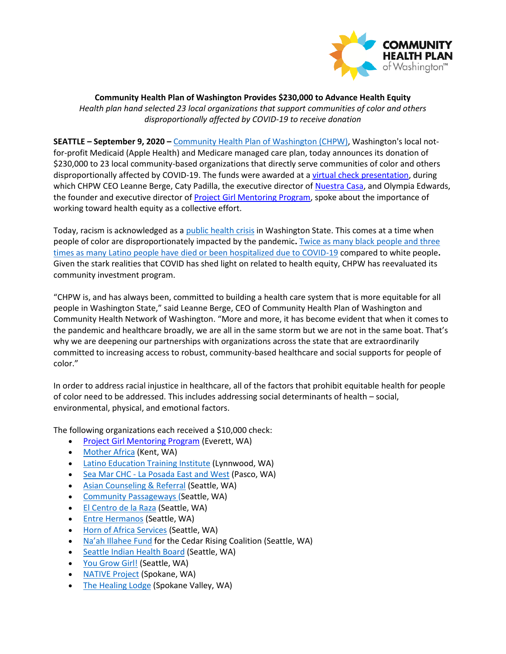

**Community Health Plan of Washington Provides \$230,000 to Advance Health Equity**  *Health plan hand selected 23 local organizations that support communities of color and others disproportionally affected by COVID-19 to receive donation*

**SEATTLE – September 9, 2020 –** [Community Health Plan of Washington \(CHPW\),](http://www.chpw.org/) Washington's local notfor-profit Medicaid (Apple Health) and Medicare managed care plan, today announces its donation of \$230,000 to 23 local community-based organizations that directly serve communities of color and others disproportionally affected by COVID-19. The funds were awarded at a [virtual check presentation,](http://bit.ly/CHPWhealthequityon090920) during which CHPW CEO Leanne Berge, Caty Padilla, the executive director of [Nuestra Casa,](https://nuestracasawa.org/) and Olympia Edwards, the founder and executive director of [Project Girl Mentoring Program,](https://www.project-girl.com/) spoke about the importance of working toward health equity as a collective effort.

Today, racism is acknowledged as a [public health crisis](https://apnews.com/0bc46c182953af672dcf40b995650b02) in Washington State. This comes at a time when people of color are disproportionately impacted by the pandemic**.** [Twice as many black people and three](https://www.npr.org/sections/coronavirus-live-updates/2020/08/13/902261618/covid-19-death-rate-for-black-americans-twice-that-for-whites-new-report-says)  [times as many Latino people have died or been hospitalized due to COVID-19](https://www.npr.org/sections/coronavirus-live-updates/2020/08/13/902261618/covid-19-death-rate-for-black-americans-twice-that-for-whites-new-report-says) compared to white people**.**  Given the stark realities that COVID has shed light on related to health equity, CHPW has reevaluated its community investment program.

"CHPW is, and has always been, committed to building a health care system that is more equitable for all people in Washington State," said Leanne Berge, CEO of Community Health Plan of Washington and Community Health Network of Washington. "More and more, it has become evident that when it comes to the pandemic and healthcare broadly, we are all in the same storm but we are not in the same boat. That's why we are deepening our partnerships with organizations across the state that are extraordinarily committed to increasing access to robust, community-based healthcare and social supports for people of color."

In order to address racial injustice in healthcare, all of the factors that prohibit equitable health for people of color need to be addressed. This includes addressing social determinants of health – social, environmental, physical, and emotional factors.

The following organizations each received a \$10,000 check:

- Project Girl [Mentoring Program](https://www.project-girl.com/) (Everett, WA)
- [Mother Africa](https://www.motherafrica.org/) (Kent, WA)
- [Latino Education Training Institute](http://www.letiwa.org/) (Lynnwood, WA)
- Sea Mar CHC [La Posada East and West](https://www.seamar.org/franklin-housing-laposada.html) (Pasco, WA)
- **[Asian Counseling & Referral](https://acrs.org/) (Seattle, WA)**
- [Community Passageways](https://www.communitypassageways.org/) (Seattle, WA)
- [El Centro de la Raza](http://www.elcentrodelaraza.org/) (Seattle, WA)
- [Entre Hermanos](https://entrehermanos.org/) (Seattle, WA)
- [Horn of Africa Services](http://hoas.org/) (Seattle, WA)
- [Na'ah Illahee Fund](https://www.naahillahee.org/) for the Cedar Rising Coalition (Seattle, WA)
- [Seattle Indian Health Board](https://www.sihb.org/) (Seattle, WA)
- [You Grow Girl!](https://www.yougrowgirl.org/) (Seattle, WA)
- [NATIVE](http://nativeproject.org/) Project (Spokane, WA)
- [The Healing Lodge](https://healinglodge.org/) (Spokane Valley, WA)